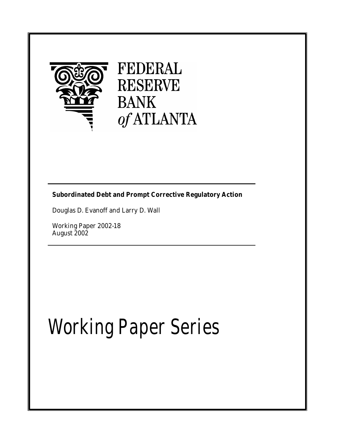

# FEDERAL **RESERVE BANK** of ATLANTA

## **Subordinated Debt and Prompt Corrective Regulatory Action**

Douglas D. Evanoff and Larry D. Wall

Working Paper 2002-18 August 2002

# Working Paper Series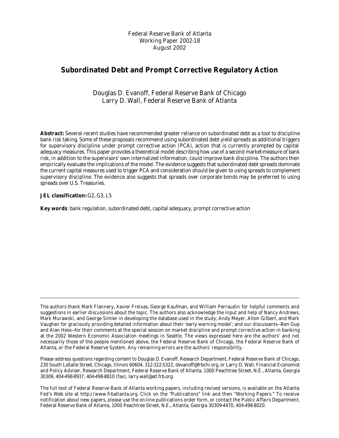Federal Reserve Bank of Atlanta Working Paper 2002-18 August 2002

### **Subordinated Debt and Prompt Corrective Regulatory Action**

Douglas D. Evanoff, Federal Reserve Bank of Chicago Larry D. Wall, Federal Reserve Bank of Atlanta

**Abstract:** Several recent studies have recommended greater reliance on subordinated debt as a tool to discipline bank risk taking. Some of these proposals recommend using subordinated debt yield spreads as additional triggers for supervisory discipline under prompt corrective action (PCA), action that is currently prompted by capital adequacy measures. This paper provides a theoretical model describing how use of a second market-measure of bank risk, in addition to the supervisors' own internalized information, could improve bank discipline. The authors then empirically evaluate the implications of the model. The evidence suggests that subordinated debt spreads dominate the current capital measures used to trigger PCA and consideration should be given to using spreads to complement supervisory discipline. The evidence also suggests that spreads over corporate bonds may be preferred to using spreads over U.S. Treasuries.

#### **JEL classification:** G2, G3, L5

**Key words**: bank regulation, subordinated debt, capital adequacy, prompt corrective action

Please address questions regarding content to Douglas D. Evanoff, Research Department, Federal Reserve Bank of Chicago, 230 South LaSalle Street, Chicago, Illinois 60604, 312-322-5322, devanoff@frbchi.org, or Larry D. Wall, Financial Economist and Policy Adviser, Research Department, Federal Reserve Bank of Atlanta, 1000 Peachtree Street, N.E., Atlanta, Georgia 30309, 404-498-8937, 404-498-8810 (fax), larry.wall@atl.frb.org.

The full text of Federal Reserve Bank of Atlanta working papers, including revised versions, is available on the Atlanta Fed's Web site at http://www.frbatlanta.org. Click on the "Publications" link and then "Working Papers." To receive notification about new papers, please use the on-line publications order form, or contact the Public Affairs Department, Federal Reserve Bank of Atlanta, 1000 Peachtree Street, N.E., Atlanta, Georgia 30309-4470, 404-498-8020.

The authors thank Mark Flannery, Xavier Freixas, George Kaufman, and William Perraudin for helpful comments and suggestions in earlier discussions about the topic. The authors also acknowledge the input and help of Nancy Andrews, Mark Murawski, and George Simler in developing the database used in the study; Andy Meyer, Alton Gilbert, and Mark Vaughan for graciously providing detailed information about their 'early warning model'; and our discussants—Ben Gup and Alan Hess—for their comments at the special session on market discipline and prompt corrective action in banking at the 2002 Western Economic Association meetings in Seattle. The views expressed here are the authors' and not necessarily those of the people mentioned above, the Federal Reserve Bank of Chicago, the Federal Reserve Bank of Atlanta, or the Federal Reserve System. Any remaining errors are the authors' responsibility.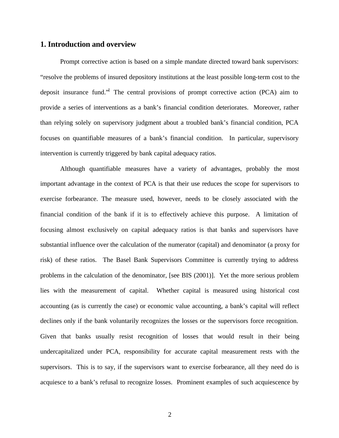#### **1. Introduction and overview**

Prompt corrective action is based on a simple mandate directed toward bank supervisors: "resolve the problems of insured depository institutions at the least possible long-term cost to the deposit insurance fund."<sup>1</sup> The central provisions of prompt corrective action (PCA) aim to provide a series of interventions as a bank's financial condition deteriorates. Moreover, rather than relying solely on supervisory judgment about a troubled bank's financial condition, PCA focuses on quantifiable measures of a bank's financial condition. In particular, supervisory intervention is currently triggered by bank capital adequacy ratios.

Although quantifiable measures have a variety of advantages, probably the most important advantage in the context of PCA is that their use reduces the scope for supervisors to exercise forbearance. The measure used, however, needs to be closely associated with the financial condition of the bank if it is to effectively achieve this purpose. A limitation of focusing almost exclusively on capital adequacy ratios is that banks and supervisors have substantial influence over the calculation of the numerator (capital) and denominator (a proxy for risk) of these ratios. The Basel Bank Supervisors Committee is currently trying to address problems in the calculation of the denominator, [see BIS (2001)]. Yet the more serious problem lies with the measurement of capital. Whether capital is measured using historical cost accounting (as is currently the case) or economic value accounting, a bank's capital will reflect declines only if the bank voluntarily recognizes the losses or the supervisors force recognition. Given that banks usually resist recognition of losses that would result in their being undercapitalized under PCA, responsibility for accurate capital measurement rests with the supervisors. This is to say, if the supervisors want to exercise forbearance, all they need do is acquiesce to a bank's refusal to recognize losses. Prominent examples of such acquiescence by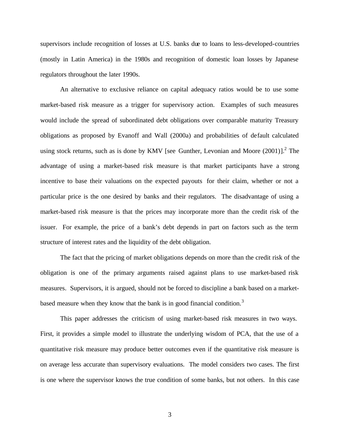supervisors include recognition of losses at U.S. banks due to loans to less-developed-countries (mostly in Latin America) in the 1980s and recognition of domestic loan losses by Japanese regulators throughout the later 1990s.

An alternative to exclusive reliance on capital adequacy ratios would be to use some market-based risk measure as a trigger for supervisory action. Examples of such measures would include the spread of subordinated debt obligations over comparable maturity Treasury obligations as proposed by Evanoff and Wall (2000a) and probabilities of default calculated using stock returns, such as is done by KMV [see Gunther, Levonian and Moore  $(2001)$ ].<sup>2</sup> The advantage of using a market-based risk measure is that market participants have a strong incentive to base their valuations on the expected payouts for their claim, whether or not a particular price is the one desired by banks and their regulators. The disadvantage of using a market-based risk measure is that the prices may incorporate more than the credit risk of the issuer. For example, the price of a bank's debt depends in part on factors such as the term structure of interest rates and the liquidity of the debt obligation.

The fact that the pricing of market obligations depends on more than the credit risk of the obligation is one of the primary arguments raised against plans to use market-based risk measures. Supervisors, it is argued, should not be forced to discipline a bank based on a marketbased measure when they know that the bank is in good financial condition.<sup>3</sup>

This paper addresses the criticism of using market-based risk measures in two ways. First, it provides a simple model to illustrate the underlying wisdom of PCA, that the use of a quantitative risk measure may produce better outcomes even if the quantitative risk measure is on average less accurate than supervisory evaluations. The model considers two cases. The first is one where the supervisor knows the true condition of some banks, but not others. In this case

3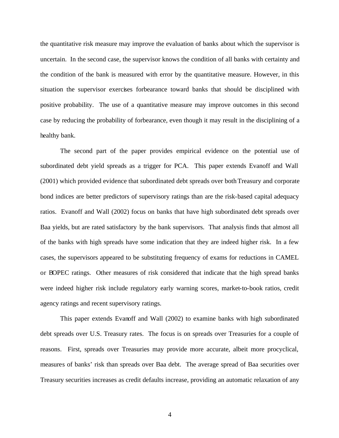the quantitative risk measure may improve the evaluation of banks about which the supervisor is uncertain. In the second case, the supervisor knows the condition of all banks with certainty and the condition of the bank is measured with error by the quantitative measure. However, in this situation the supervisor exercises forbearance toward banks that should be disciplined with positive probability. The use of a quantitative measure may improve outcomes in this second case by reducing the probability of forbearance, even though it may result in the disciplining of a healthy bank.

The second part of the paper provides empirical evidence on the potential use of subordinated debt yield spreads as a trigger for PCA. This paper extends Evanoff and Wall (2001) which provided evidence that subordinated debt spreads over both Treasury and corporate bond indices are better predictors of supervisory ratings than are the risk-based capital adequacy ratios. Evanoff and Wall (2002) focus on banks that have high subordinated debt spreads over Baa yields, but are rated satisfactory by the bank supervisors. That analysis finds that almost all of the banks with high spreads have some indication that they are indeed higher risk. In a few cases, the supervisors appeared to be substituting frequency of exams for reductions in CAMEL or BOPEC ratings. Other measures of risk considered that indicate that the high spread banks were indeed higher risk include regulatory early warning scores, market-to-book ratios, credit agency ratings and recent supervisory ratings.

This paper extends Evanoff and Wall (2002) to examine banks with high subordinated debt spreads over U.S. Treasury rates. The focus is on spreads over Treasuries for a couple of reasons. First, spreads over Treasuries may provide more accurate, albeit more procyclical, measures of banks' risk than spreads over Baa debt. The average spread of Baa securities over Treasury securities increases as credit defaults increase, providing an automatic relaxation of any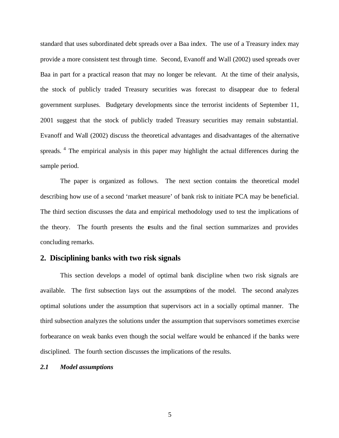standard that uses subordinated debt spreads over a Baa index. The use of a Treasury index may provide a more consistent test through time. Second, Evanoff and Wall (2002) used spreads over Baa in part for a practical reason that may no longer be relevant. At the time of their analysis, the stock of publicly traded Treasury securities was forecast to disappear due to federal government surpluses. Budgetary developments since the terrorist incidents of September 11, 2001 suggest that the stock of publicly traded Treasury securities may remain substantial. Evanoff and Wall (2002) discuss the theoretical advantages and disadvantages of the alternative spreads.<sup>4</sup> The empirical analysis in this paper may highlight the actual differences during the sample period.

The paper is organized as follows. The next section contains the theoretical model describing how use of a second 'market measure' of bank risk to initiate PCA may be beneficial. The third section discusses the data and empirical methodology used to test the implications of the theory. The fourth presents the esults and the final section summarizes and provides concluding remarks.

#### **2. Disciplining banks with two risk signals**

This section develops a model of optimal bank discipline when two risk signals are available. The first subsection lays out the assumptions of the model. The second analyzes optimal solutions under the assumption that supervisors act in a socially optimal manner. The third subsection analyzes the solutions under the assumption that supervisors sometimes exercise forbearance on weak banks even though the social welfare would be enhanced if the banks were disciplined. The fourth section discusses the implications of the results.

#### *2.1 Model assumptions*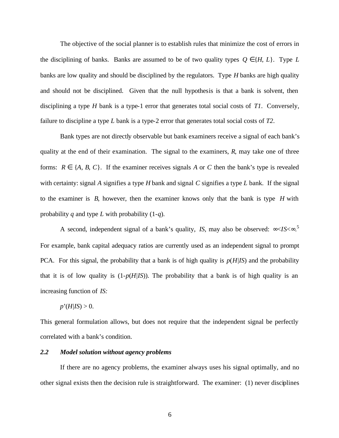The objective of the social planner is to establish rules that minimize the cost of errors in the disciplining of banks. Banks are assumed to be of two quality types  $Q \in \{H, L\}$ . Type *L* banks are low quality and should be disciplined by the regulators. Type *H* banks are high quality and should not be disciplined. Given that the null hypothesis is that a bank is solvent, then disciplining a type *H* bank is a type-1 error that generates total social costs of *T1*. Conversely, failure to discipline a type *L* bank is a type-2 error that generates total social costs of *T2*.

Bank types are not directly observable but bank examiners receive a signal of each bank's quality at the end of their examination. The signal to the examiners, *R*, may take one of three forms:  $R \in \{A, B, C\}$ . If the examiner receives signals A or C then the bank's type is revealed with certainty: signal *A* signifies a type *H* bank and signal *C* signifies a type *L* bank. If the signal to the examiner is *B*, however, then the examiner knows only that the bank is type *H* with probability *q* and type *L* with probability (1-*q*).

A second, independent signal of a bank's quality, *IS*, may also be observed: ∞<*IS*<∞. 5 For example, bank capital adequacy ratios are currently used as an independent signal to prompt PCA. For this signal, the probability that a bank is of high quality is *p*(*H|IS*) and the probability that it is of low quality is  $(1-p(H/IS))$ . The probability that a bank is of high quality is an increasing function of *IS:*

#### $p'(H/IS) > 0$ .

This general formulation allows, but does not require that the independent signal be perfectly correlated with a bank's condition.

#### *2.2 Model solution without agency problems*

If there are no agency problems, the examiner always uses his signal optimally, and no other signal exists then the decision rule is straightforward. The examiner: (1) never disciplines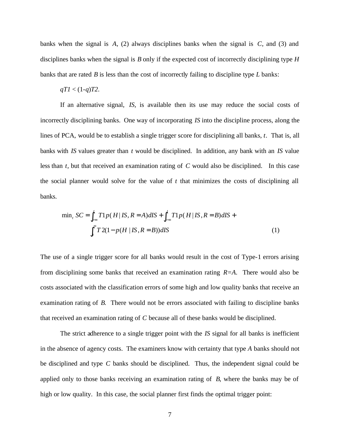banks when the signal is *A*, (2) always disciplines banks when the signal is *C*, and (3) and disciplines banks when the signal is *B* only if the expected cost of incorrectly disciplining type *H* banks that are rated *B* is less than the cost of incorrectly failing to discipline type *L* banks:

#### $qT1 < (1-q)T2$ .

If an alternative signal, *IS,* is available then its use may reduce the social costs of incorrectly disciplining banks. One way of incorporating *IS* into the discipline process, along the lines of PCA, would be to establish a single trigger score for disciplining all banks, *t*. That is, all banks with *IS* values greater than *t* would be disciplined. In addition, any bank with an *IS* value less than *t,* but that received an examination rating of *C* would also be disciplined. In this case the social planner would solve for the value of *t* that minimizes the costs of disciplining all banks.

$$
\min_{t} SC = \int_{-\infty}^{t} T1p(H \, | \, IS, R = A) dI S + \int_{-\infty}^{t} T1p(H \, | \, IS, R = B) dI S + \int_{t}^{\infty} T2(1 - p(H \, | \, IS, R = B)) dI S \tag{1}
$$

The use of a single trigger score for all banks would result in the cost of Type-1 errors arising from disciplining some banks that received an examination rating *R=A*. There would also be costs associated with the classification errors of some high and low quality banks that receive an examination rating of *B*. There would not be errors associated with failing to discipline banks that received an examination rating of *C* because all of these banks would be disciplined.

The strict adherence to a single trigger point with the *IS* signal for all banks is inefficient in the absence of agency costs. The examiners know with certainty that type *A* banks should not be disciplined and type *C* banks should be disciplined. Thus, the independent signal could be applied only to those banks receiving an examination rating of *B*, where the banks may be of high or low quality. In this case, the social planner first finds the optimal trigger point: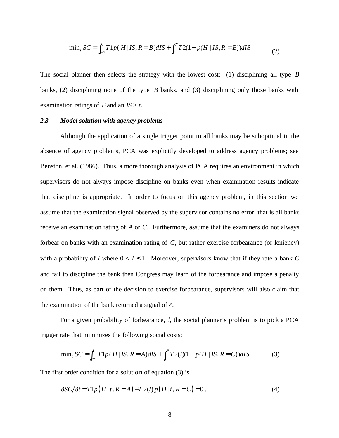$$
\min_{t} SC = \int_{-\infty}^{t} T1p(H \, | \, IS, R = B) dI S + \int_{t}^{\infty} T2(1 - p(H \, | \, IS, R = B)) dI S \tag{2}
$$

The social planner then selects the strategy with the lowest cost: (1) disciplining all type *B* banks, (2) disciplining none of the type *B* banks, and (3) disciplining only those banks with examination ratings of *B* and an *IS* > *t*.

#### *2.3 Model solution with agency problems*

Although the application of a single trigger point to all banks may be suboptimal in the absence of agency problems, PCA was explicitly developed to address agency problems; see Benston, et al. (1986). Thus, a more thorough analysis of PCA requires an environment in which supervisors do not always impose discipline on banks even when examination results indicate that discipline is appropriate. In order to focus on this agency problem, in this section we assume that the examination signal observed by the supervisor contains no error, that is all banks receive an examination rating of *A* or *C*. Furthermore, assume that the examiners do not always forbear on banks with an examination rating of *C*, but rather exercise forbearance (or leniency) with a probability of *l* where  $0 < l \le 1$ . Moreover, supervisors know that if they rate a bank *C* and fail to discipline the bank then Congress may learn of the forbearance and impose a penalty on them. Thus, as part of the decision to exercise forbearance, supervisors will also claim that the examination of the bank returned a signal of *A*.

For a given probability of forbearance, *l*, the social planner's problem is to pick a PCA trigger rate that minimizes the following social costs:

$$
\min_{t} SC = \int_{-\infty}^{t} T1p(H \, | \, IS, R = A) dI S + \int_{t}^{\infty} T2(l)(1 - p(H \, | \, IS, R = C)) dI S \tag{3}
$$

The first order condition for a solution of equation (3) is

$$
\frac{\partial SC}{\partial t} = T1p(H|t, R = A) - T2(l)p(H|t, R = C) = 0. \tag{4}
$$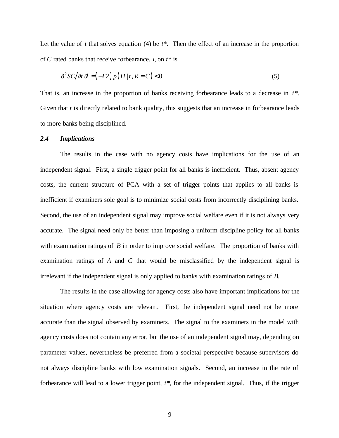Let the value of  $t$  that solves equation (4) be  $t^*$ . Then the effect of an increase in the proportion of *C* rated banks that receive forbearance, *l*, on *t\** is

$$
\frac{\partial^2 SC}{\partial t} \frac{d}{dt} = (-T2) p (H | t, R = C) < 0. \tag{5}
$$

That is, an increase in the proportion of banks receiving forbearance leads to a decrease in *t\**. Given that *t* is directly related to bank quality, this suggests that an increase in forbearance leads to more banks being disciplined.

#### *2.4 Implications*

The results in the case with no agency costs have implications for the use of an independent signal. First, a single trigger point for all banks is inefficient. Thus, absent agency costs, the current structure of PCA with a set of trigger points that applies to all banks is inefficient if examiners sole goal is to minimize social costs from incorrectly disciplining banks. Second, the use of an independent signal may improve social welfare even if it is not always very accurate. The signal need only be better than imposing a uniform discipline policy for all banks with examination ratings of *B* in order to improve social welfare. The proportion of banks with examination ratings of *A* and *C* that would be misclassified by the independent signal is irrelevant if the independent signal is only applied to banks with examination ratings of *B*.

The results in the case allowing for agency costs also have important implications for the situation where agency costs are relevant. First, the independent signal need not be more accurate than the signal observed by examiners. The signal to the examiners in the model with agency costs does not contain any error, but the use of an independent signal may, depending on parameter values, nevertheless be preferred from a societal perspective because supervisors do not always discipline banks with low examination signals. Second, an increase in the rate of forbearance will lead to a lower trigger point, *t\**, for the independent signal. Thus, if the trigger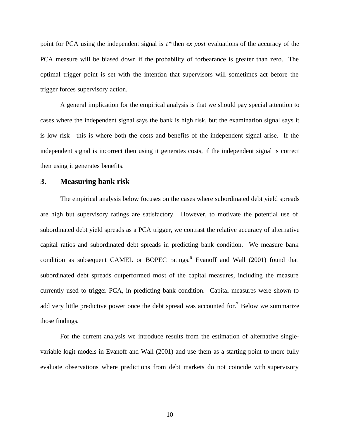point for PCA using the independent signal is *t\** then *ex post* evaluations of the accuracy of the PCA measure will be biased down if the probability of forbearance is greater than zero. The optimal trigger point is set with the intention that supervisors will sometimes act before the trigger forces supervisory action.

A general implication for the empirical analysis is that we should pay special attention to cases where the independent signal says the bank is high risk, but the examination signal says it is low risk—this is where both the costs and benefits of the independent signal arise. If the independent signal is incorrect then using it generates costs, if the independent signal is correct then using it generates benefits.

#### **3. Measuring bank risk**

The empirical analysis below focuses on the cases where subordinated debt yield spreads are high but supervisory ratings are satisfactory. However, to motivate the potential use of subordinated debt yield spreads as a PCA trigger, we contrast the relative accuracy of alternative capital ratios and subordinated debt spreads in predicting bank condition. We measure bank condition as subsequent CAMEL or BOPEC ratings.<sup>6</sup> Evanoff and Wall (2001) found that subordinated debt spreads outperformed most of the capital measures, including the measure currently used to trigger PCA, in predicting bank condition. Capital measures were shown to add very little predictive power once the debt spread was accounted for.<sup>7</sup> Below we summarize those findings.

For the current analysis we introduce results from the estimation of alternative singlevariable logit models in Evanoff and Wall (2001) and use them as a starting point to more fully evaluate observations where predictions from debt markets do not coincide with supervisory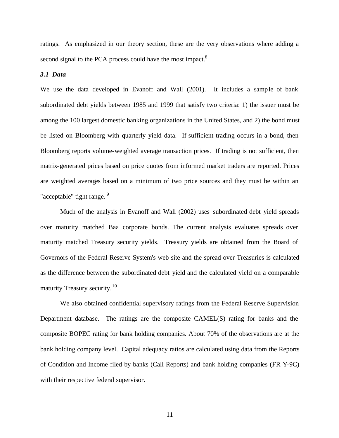ratings. As emphasized in our theory section, these are the very observations where adding a second signal to the PCA process could have the most impact.<sup>8</sup>

#### *3.1 Data*

We use the data developed in Evanoff and Wall (2001). It includes a sample of bank subordinated debt yields between 1985 and 1999 that satisfy two criteria: 1) the issuer must be among the 100 largest domestic banking organizations in the United States, and 2) the bond must be listed on Bloomberg with quarterly yield data. If sufficient trading occurs in a bond, then Bloomberg reports volume-weighted average transaction prices. If trading is not sufficient, then matrix-generated prices based on price quotes from informed market traders are reported. Prices are weighted averages based on a minimum of two price sources and they must be within an "acceptable" tight range.  $9$ 

Much of the analysis in Evanoff and Wall (2002) uses subordinated debt yield spreads over maturity matched Baa corporate bonds. The current analysis evaluates spreads over maturity matched Treasury security yields. Treasury yields are obtained from the Board of Governors of the Federal Reserve System's web site and the spread over Treasuries is calculated as the difference between the subordinated debt yield and the calculated yield on a comparable maturity Treasury security.<sup>10</sup>

We also obtained confidential supervisory ratings from the Federal Reserve Supervision Department database. The ratings are the composite CAMEL(S) rating for banks and the composite BOPEC rating for bank holding companies. About 70% of the observations are at the bank holding company level. Capital adequacy ratios are calculated using data from the Reports of Condition and Income filed by banks (Call Reports) and bank holding companies (FR Y-9C) with their respective federal supervisor.

11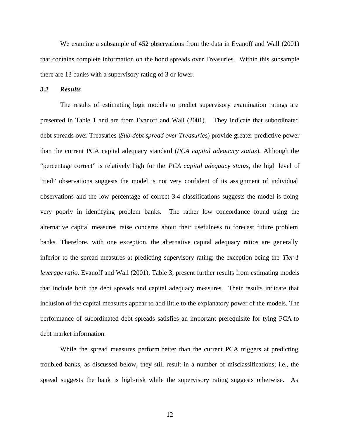We examine a subsample of 452 observations from the data in Evanoff and Wall (2001) that contains complete information on the bond spreads over Treasuries. Within this subsample there are 13 banks with a supervisory rating of 3 or lower.

*3.2 Results*

The results of estimating logit models to predict supervisory examination ratings are presented in Table 1 and are from Evanoff and Wall (2001). They indicate that subordinated debt spreads over Treasuries (*Sub-debt spread over Treasuries*) provide greater predictive power than the current PCA capital adequacy standard (*PCA capital adequacy status*). Although the "percentage correct" is relatively high for the *PCA capital adequacy status*, the high level of "tied" observations suggests the model is not very confident of its assignment of individual observations and the low percentage of correct 3-4 classifications suggests the model is doing very poorly in identifying problem banks. The rather low concordance found using the alternative capital measures raise concerns about their usefulness to forecast future problem banks. Therefore, with one exception, the alternative capital adequacy ratios are generally inferior to the spread measures at predicting supervisory rating; the exception being the *Tier-1 leverage ratio*. Evanoff and Wall (2001), Table 3, present further results from estimating models that include both the debt spreads and capital adequacy measures. Their results indicate that inclusion of the capital measures appear to add little to the explanatory power of the models. The performance of subordinated debt spreads satisfies an important prerequisite for tying PCA to debt market information.

While the spread measures perform better than the current PCA triggers at predicting troubled banks, as discussed below, they still result in a number of misclassifications; i.e., the spread suggests the bank is high-risk while the supervisory rating suggests otherwise. As

12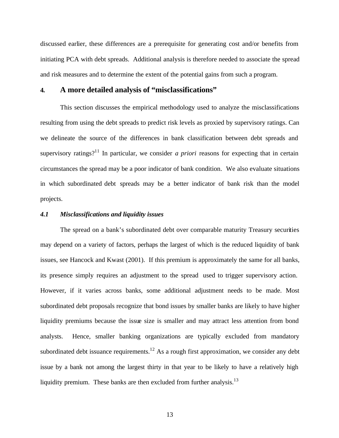discussed earlier, these differences are a prerequisite for generating cost and/or benefits from initiating PCA with debt spreads. Additional analysis is therefore needed to associate the spread and risk measures and to determine the extent of the potential gains from such a program.

#### **4***.* **A more detailed analysis of "misclassifications"**

This section discusses the empirical methodology used to analyze the misclassifications resulting from using the debt spreads to predict risk levels as proxied by supervisory ratings. Can we delineate the source of the differences in bank classification between debt spreads and supervisory ratings?<sup>11</sup> In particular, we consider *a priori* reasons for expecting that in certain circumstances the spread may be a poor indicator of bank condition. We also evaluate situations in which subordinated debt spreads may be a better indicator of bank risk than the model projects.

#### *4.1 Misclassifications and liquidity issues*

The spread on a bank's subordinated debt over comparable maturity Treasury securities may depend on a variety of factors, perhaps the largest of which is the reduced liquidity of bank issues, see Hancock and Kwast (2001). If this premium is approximately the same for all banks, its presence simply requires an adjustment to the spread used to trigger supervisory action. However, if it varies across banks, some additional adjustment needs to be made. Most subordinated debt proposals recognize that bond issues by smaller banks are likely to have higher liquidity premiums because the issue size is smaller and may attract less attention from bond analysts. Hence, smaller banking organizations are typically excluded from mandatory subordinated debt issuance requirements.<sup>12</sup> As a rough first approximation, we consider any debt issue by a bank not among the largest thirty in that year to be likely to have a relatively high liquidity premium. These banks are then excluded from further analysis.<sup>13</sup>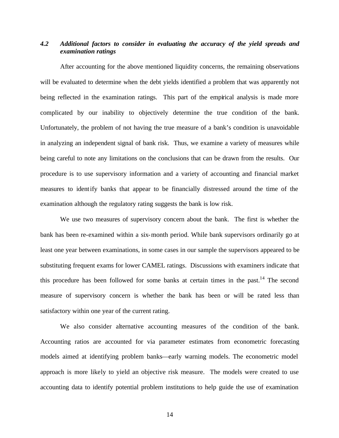#### *4.2 Additional factors to consider in evaluating the accuracy of the yield spreads and examination ratings*

After accounting for the above mentioned liquidity concerns, the remaining observations will be evaluated to determine when the debt yields identified a problem that was apparently not being reflected in the examination ratings. This part of the empirical analysis is made more complicated by our inability to objectively determine the true condition of the bank. Unfortunately, the problem of not having the true measure of a bank's condition is unavoidable in analyzing an independent signal of bank risk. Thus, we examine a variety of measures while being careful to note any limitations on the conclusions that can be drawn from the results. Our procedure is to use supervisory information and a variety of accounting and financial market measures to identify banks that appear to be financially distressed around the time of the examination although the regulatory rating suggests the bank is low risk.

We use two measures of supervisory concern about the bank. The first is whether the bank has been re-examined within a six-month period. While bank supervisors ordinarily go at least one year between examinations, in some cases in our sample the supervisors appeared to be substituting frequent exams for lower CAMEL ratings. Discussions with examiners indicate that this procedure has been followed for some banks at certain times in the past.<sup>14</sup> The second measure of supervisory concern is whether the bank has been or will be rated less than satisfactory within one year of the current rating.

We also consider alternative accounting measures of the condition of the bank. Accounting ratios are accounted for via parameter estimates from econometric forecasting models aimed at identifying problem banks—early warning models. The econometric model approach is more likely to yield an objective risk measure. The models were created to use accounting data to identify potential problem institutions to help guide the use of examination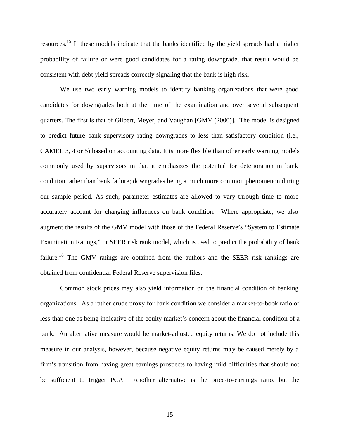resources.<sup>15</sup> If these models indicate that the banks identified by the yield spreads had a higher probability of failure or were good candidates for a rating downgrade, that result would be consistent with debt yield spreads correctly signaling that the bank is high risk.

We use two early warning models to identify banking organizations that were good candidates for downgrades both at the time of the examination and over several subsequent quarters. The first is that of Gilbert, Meyer, and Vaughan [GMV (2000)]. The model is designed to predict future bank supervisory rating downgrades to less than satisfactory condition (i.e., CAMEL 3, 4 or 5) based on accounting data. It is more flexible than other early warning models commonly used by supervisors in that it emphasizes the potential for deterioration in bank condition rather than bank failure; downgrades being a much more common phenomenon during our sample period. As such, parameter estimates are allowed to vary through time to more accurately account for changing influences on bank condition. Where appropriate, we also augment the results of the GMV model with those of the Federal Reserve's "System to Estimate Examination Ratings," or SEER risk rank model, which is used to predict the probability of bank failure.<sup>16</sup> The GMV ratings are obtained from the authors and the SEER risk rankings are obtained from confidential Federal Reserve supervision files.

Common stock prices may also yield information on the financial condition of banking organizations. As a rather crude proxy for bank condition we consider a market-to-book ratio of less than one as being indicative of the equity market's concern about the financial condition of a bank. An alternative measure would be market-adjusted equity returns. We do not include this measure in our analysis, however, because negative equity returns may be caused merely by a firm's transition from having great earnings prospects to having mild difficulties that should not be sufficient to trigger PCA. Another alternative is the price-to-earnings ratio, but the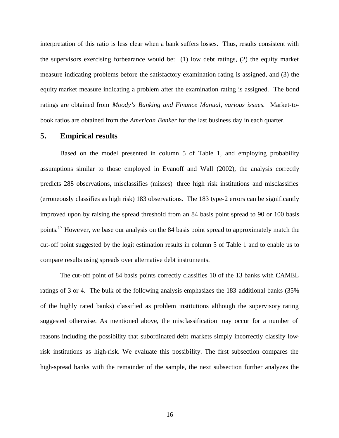interpretation of this ratio is less clear when a bank suffers losses. Thus, results consistent with the supervisors exercising forbearance would be: (1) low debt ratings, (2) the equity market measure indicating problems before the satisfactory examination rating is assigned, and (3) the equity market measure indicating a problem after the examination rating is assigned. The bond ratings are obtained from *Moody's Banking and Finance Manual, various issues.* Market-tobook ratios are obtained from the *American Banker* for the last business day in each quarter.

#### **5. Empirical results**

Based on the model presented in column 5 of Table 1, and employing probability assumptions similar to those employed in Evanoff and Wall (2002), the analysis correctly predicts 288 observations, misclassifies (misses) three high risk institutions and misclassifies (erroneously classifies as high risk) 183 observations. The 183 type-2 errors can be significantly improved upon by raising the spread threshold from an 84 basis point spread to 90 or 100 basis points.<sup>17</sup> However, we base our analysis on the 84 basis point spread to approximately match the cut-off point suggested by the logit estimation results in column 5 of Table 1 and to enable us to compare results using spreads over alternative debt instruments.

The cut-off point of 84 basis points correctly classifies 10 of the 13 banks with CAMEL ratings of 3 or 4. The bulk of the following analysis emphasizes the 183 additional banks (35% of the highly rated banks) classified as problem institutions although the supervisory rating suggested otherwise. As mentioned above, the misclassification may occur for a number of reasons including the possibility that subordinated debt markets simply incorrectly classify lowrisk institutions as high-risk. We evaluate this possibility. The first subsection compares the high-spread banks with the remainder of the sample, the next subsection further analyzes the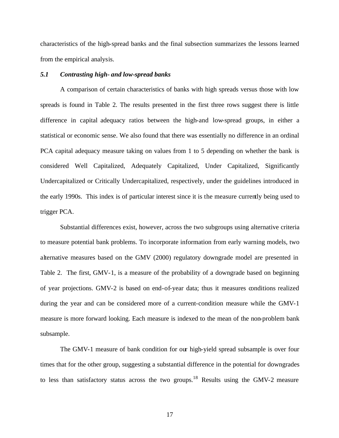characteristics of the high-spread banks and the final subsection summarizes the lessons learned from the empirical analysis.

#### *5.1 Contrasting high- and low-spread banks*

A comparison of certain characteristics of banks with high spreads versus those with low spreads is found in Table 2. The results presented in the first three rows suggest there is little difference in capital adequacy ratios between the high-and low-spread groups, in either a statistical or economic sense. We also found that there was essentially no difference in an ordinal PCA capital adequacy measure taking on values from 1 to 5 depending on whether the bank is considered Well Capitalized, Adequately Capitalized, Under Capitalized, Significantly Undercapitalized or Critically Undercapitalized, respectively, under the guidelines introduced in the early 1990s. This index is of particular interest since it is the measure currently being used to trigger PCA.

Substantial differences exist, however, across the two subgroups using alternative criteria to measure potential bank problems. To incorporate information from early warning models, two alternative measures based on the GMV (2000) regulatory downgrade model are presented in Table 2. The first, GMV-1, is a measure of the probability of a downgrade based on beginning of year projections. GMV-2 is based on end-of-year data; thus it measures conditions realized during the year and can be considered more of a current-condition measure while the GMV-1 measure is more forward looking. Each measure is indexed to the mean of the non-problem bank subsample.

The GMV-1 measure of bank condition for our high-yield spread subsample is over four times that for the other group, suggesting a substantial difference in the potential for downgrades to less than satisfactory status across the two groups.<sup>18</sup> Results using the GMV-2 measure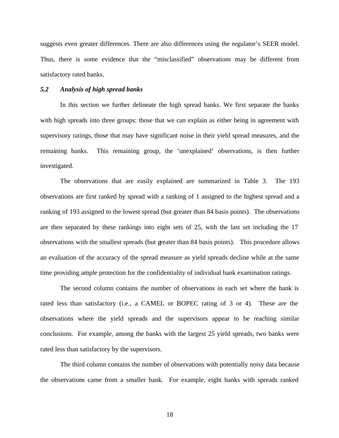suggests even greater differences. There are also differences using the regulator's SEER model. Thus, there is some evidence that the "misclassified" observations may be different from satisfactory rated banks.

#### *5.2 Analysis of high spread banks*

In this section we further delineate the high spread banks. We first separate the banks with high spreads into three groups: those that we can explain as either being in agreement with supervisory ratings, those that may have significant noise in their yield spread measures, and the remaining banks. This remaining group, the 'unexplained' observations, is then further investigated.

The observations that are easily explained are summarized in Table 3. The 193 observations are first ranked by spread with a ranking of 1 assigned to the highest spread and a ranking of 193 assigned to the lowest spread (but greater than 84 basis points). The observations are then separated by these rankings into eight sets of 25, with the last set including the 17 observations with the smallest spreads (but greater than 84 basis points). This procedure allows an evaluation of the accuracy of the spread measure as yield spreads decline while at the same time providing ample protection for the confidentiality of individual bank examination ratings.

The second column contains the number of observations in each set where the bank is rated less than satisfactory (i.e., a CAMEL or BOPEC rating of 3 or 4). These are the observations where the yield spreads and the supervisors appear to be reaching similar conclusions. For example, among the banks with the largest 25 yield spreads, two banks were rated less than satisfactory by the supervisors.

The third column contains the number of observations with potentially noisy data because the observations came from a smaller bank. For example, eight banks with spreads ranked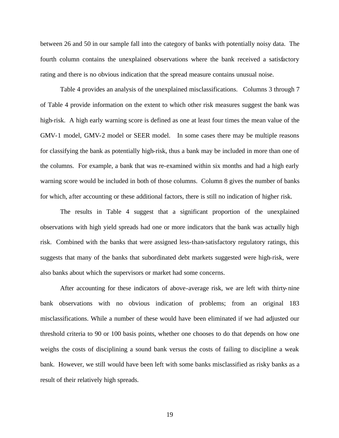between 26 and 50 in our sample fall into the category of banks with potentially noisy data. The fourth column contains the unexplained observations where the bank received a satisfactory rating and there is no obvious indication that the spread measure contains unusual noise.

Table 4 provides an analysis of the unexplained misclassifications. Columns 3 through 7 of Table 4 provide information on the extent to which other risk measures suggest the bank was high-risk. A high early warning score is defined as one at least four times the mean value of the GMV-1 model, GMV-2 model or SEER model. In some cases there may be multiple reasons for classifying the bank as potentially high-risk, thus a bank may be included in more than one of the columns. For example, a bank that was re-examined within six months and had a high early warning score would be included in both of those columns. Column 8 gives the number of banks for which, after accounting or these additional factors, there is still no indication of higher risk.

The results in Table 4 suggest that a significant proportion of the unexplained observations with high yield spreads had one or more indicators that the bank was actually high risk. Combined with the banks that were assigned less-than-satisfactory regulatory ratings, this suggests that many of the banks that subordinated debt markets suggested were high-risk, were also banks about which the supervisors or market had some concerns.

After accounting for these indicators of above-average risk, we are left with thirty-nine bank observations with no obvious indication of problems; from an original 183 misclassifications. While a number of these would have been eliminated if we had adjusted our threshold criteria to 90 or 100 basis points, whether one chooses to do that depends on how one weighs the costs of disciplining a sound bank versus the costs of failing to discipline a weak bank. However, we still would have been left with some banks misclassified as risky banks as a result of their relatively high spreads.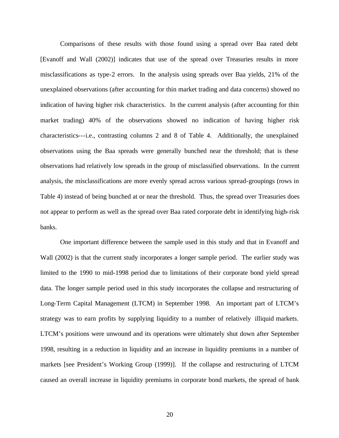Comparisons of these results with those found using a spread over Baa rated debt [Evanoff and Wall (2002)] indicates that use of the spread over Treasuries results in more misclassifications as type-2 errors. In the analysis using spreads over Baa yields, 21% of the unexplained observations (after accounting for thin market trading and data concerns) showed no indication of having higher risk characteristics. In the current analysis (after accounting for thin market trading) 40% of the observations showed no indication of having higher risk characteristics---i.e., contrasting columns 2 and 8 of Table 4. Additionally, the unexplained observations using the Baa spreads were generally bunched near the threshold; that is these observations had relatively low spreads in the group of misclassified observations. In the current analysis, the misclassifications are more evenly spread across various spread-groupings (rows in Table 4) instead of being bunched at or near the threshold. Thus, the spread over Treasuries does not appear to perform as well as the spread over Baa rated corporate debt in identifying high-risk banks.

One important difference between the sample used in this study and that in Evanoff and Wall (2002) is that the current study incorporates a longer sample period. The earlier study was limited to the 1990 to mid-1998 period due to limitations of their corporate bond yield spread data. The longer sample period used in this study incorporates the collapse and restructuring of Long-Term Capital Management (LTCM) in September 1998. An important part of LTCM's strategy was to earn profits by supplying liquidity to a number of relatively illiquid markets. LTCM's positions were unwound and its operations were ultimately shut down after September 1998, resulting in a reduction in liquidity and an increase in liquidity premiums in a number of markets [see President's Working Group (1999)]. If the collapse and restructuring of LTCM caused an overall increase in liquidity premiums in corporate bond markets, the spread of bank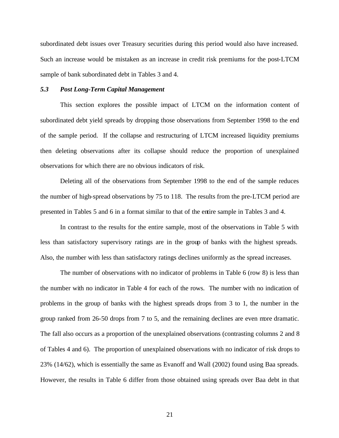subordinated debt issues over Treasury securities during this period would also have increased. Such an increase would be mistaken as an increase in credit risk premiums for the post-LTCM sample of bank subordinated debt in Tables 3 and 4.

#### *5.3 Post Long-Term Capital Management*

This section explores the possible impact of LTCM on the information content of subordinated debt yield spreads by dropping those observations from September 1998 to the end of the sample period. If the collapse and restructuring of LTCM increased liquidity premiums then deleting observations after its collapse should reduce the proportion of unexplained observations for which there are no obvious indicators of risk.

Deleting all of the observations from September 1998 to the end of the sample reduces the number of high-spread observations by 75 to 118. The results from the pre-LTCM period are presented in Tables 5 and 6 in a format similar to that of the entire sample in Tables 3 and 4.

In contrast to the results for the entire sample, most of the observations in Table 5 with less than satisfactory supervisory ratings are in the group of banks with the highest spreads. Also, the number with less than satisfactory ratings declines uniformly as the spread increases.

The number of observations with no indicator of problems in Table 6 (row 8) is less than the number with no indicator in Table 4 for each of the rows. The number with no indication of problems in the group of banks with the highest spreads drops from 3 to 1, the number in the group ranked from 26-50 drops from 7 to 5, and the remaining declines are even more dramatic. The fall also occurs as a proportion of the unexplained observations (contrasting columns 2 and 8 of Tables 4 and 6). The proportion of unexplained observations with no indicator of risk drops to 23% (14/62), which is essentially the same as Evanoff and Wall (2002) found using Baa spreads. However, the results in Table 6 differ from those obtained using spreads over Baa debt in that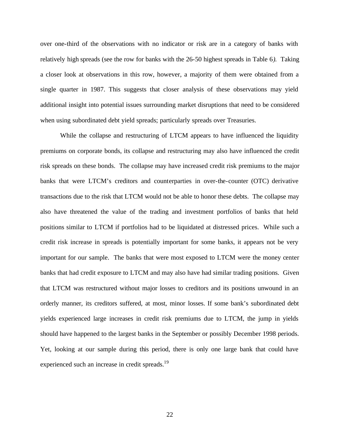over one-third of the observations with no indicator or risk are in a category of banks with relatively high spreads (see the row for banks with the 26-50 highest spreads in Table 6*).* Taking a closer look at observations in this row, however, a majority of them were obtained from a single quarter in 1987. This suggests that closer analysis of these observations may yield additional insight into potential issues surrounding market disruptions that need to be considered when using subordinated debt yield spreads; particularly spreads over Treasuries.

While the collapse and restructuring of LTCM appears to have influenced the liquidity premiums on corporate bonds, its collapse and restructuring may also have influenced the credit risk spreads on these bonds. The collapse may have increased credit risk premiums to the major banks that were LTCM's creditors and counterparties in over-the-counter (OTC) derivative transactions due to the risk that LTCM would not be able to honor these debts. The collapse may also have threatened the value of the trading and investment portfolios of banks that held positions similar to LTCM if portfolios had to be liquidated at distressed prices. While such a credit risk increase in spreads is potentially important for some banks, it appears not be very important for our sample. The banks that were most exposed to LTCM were the money center banks that had credit exposure to LTCM and may also have had similar trading positions. Given that LTCM was restructured without major losses to creditors and its positions unwound in an orderly manner, its creditors suffered, at most, minor losses. If some bank's subordinated debt yields experienced large increases in credit risk premiums due to LTCM, the jump in yields should have happened to the largest banks in the September or possibly December 1998 periods. Yet, looking at our sample during this period, there is only one large bank that could have experienced such an increase in credit spreads.<sup>19</sup>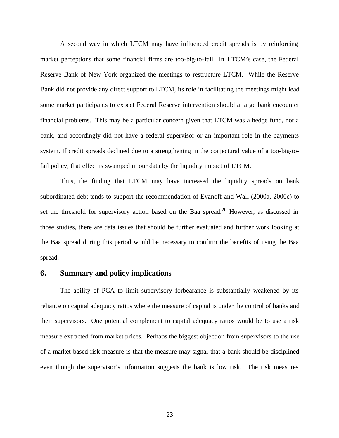A second way in which LTCM may have influenced credit spreads is by reinforcing market perceptions that some financial firms are too-big-to-fail. In LTCM's case, the Federal Reserve Bank of New York organized the meetings to restructure LTCM. While the Reserve Bank did not provide any direct support to LTCM, its role in facilitating the meetings might lead some market participants to expect Federal Reserve intervention should a large bank encounter financial problems. This may be a particular concern given that LTCM was a hedge fund, not a bank, and accordingly did not have a federal supervisor or an important role in the payments system. If credit spreads declined due to a strengthening in the conjectural value of a too-big-tofail policy, that effect is swamped in our data by the liquidity impact of LTCM.

Thus, the finding that LTCM may have increased the liquidity spreads on bank subordinated debt tends to support the recommendation of Evanoff and Wall (2000a, 2000c) to set the threshold for supervisory action based on the Baa spread.<sup>20</sup> However, as discussed in those studies, there are data issues that should be further evaluated and further work looking at the Baa spread during this period would be necessary to confirm the benefits of using the Baa spread.

#### **6. Summary and policy implications**

The ability of PCA to limit supervisory forbearance is substantially weakened by its reliance on capital adequacy ratios where the measure of capital is under the control of banks and their supervisors. One potential complement to capital adequacy ratios would be to use a risk measure extracted from market prices. Perhaps the biggest objection from supervisors to the use of a market-based risk measure is that the measure may signal that a bank should be disciplined even though the supervisor's information suggests the bank is low risk. The risk measures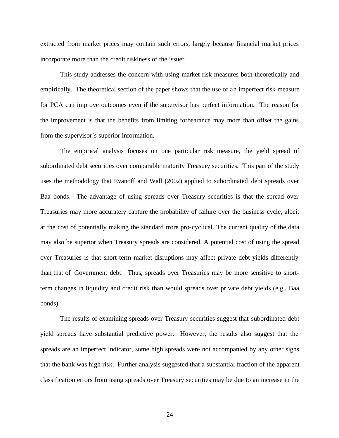extracted from market prices may contain such errors, largely because financial market prices incorporate more than the credit riskiness of the issuer.

This study addresses the concern with using market risk measures both theoretically and empirically. The theoretical section of the paper shows that the use of an imperfect risk measure for PCA can improve outcomes even if the supervisor has perfect information. The reason for the improvement is that the benefits from limiting forbearance may more than offset the gains from the supervisor's superior information.

The empirical analysis focuses on one particular risk measure, the yield spread of subordinated debt securities over comparable maturity Treasury securities. This part of the study uses the methodology that Evanoff and Wall (2002) applied to subordinated debt spreads over Baa bonds. The advantage of using spreads over Treasury securities is that the spread over Treasuries may more accurately capture the probability of failure over the business cycle, albeit at the cost of potentially making the standard more pro-cyclical. The current quality of the data may also be superior when Treasury spreads are considered. A potential cost of using the spread over Treasuries is that short-term market disruptions may affect private debt yields differently than that of Government debt. Thus, spreads over Treasuries may be more sensitive to shortterm changes in liquidity and credit risk than would spreads over private debt yields (e.g., Baa bonds).

The results of examining spreads over Treasury securities suggest that subordinated debt yield spreads have substantial predictive power. However, the results also suggest that the spreads are an imperfect indicator, some high spreads were not accompanied by any other signs that the bank was high risk. Further analysis suggested that a substantial fraction of the apparent classification errors from using spreads over Treasury securities may be due to an increase in the

24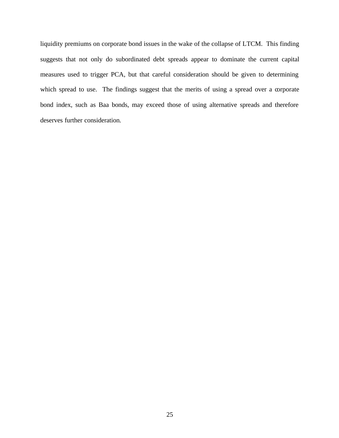liquidity premiums on corporate bond issues in the wake of the collapse of LTCM. This finding suggests that not only do subordinated debt spreads appear to dominate the current capital measures used to trigger PCA, but that careful consideration should be given to determining which spread to use. The findings suggest that the merits of using a spread over a corporate bond index, such as Baa bonds, may exceed those of using alternative spreads and therefore deserves further consideration.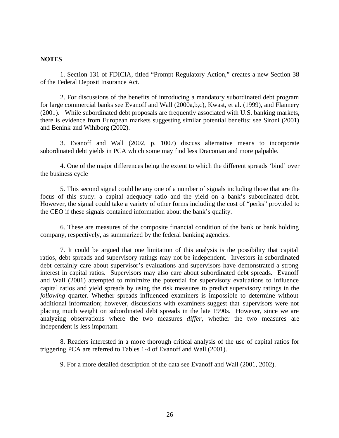#### **NOTES**

1. Section 131 of FDICIA, titled "Prompt Regulatory Action," creates a new Section 38 of the Federal Deposit Insurance Act.

2. For discussions of the benefits of introducing a mandatory subordinated debt program for large commercial banks see Evanoff and Wall (2000a,b,c), Kwast, et al. (1999), and Flannery (2001). While subordinated debt proposals are frequently associated with U.S. banking markets, there is evidence from European markets suggesting similar potential benefits: see Sironi (2001) and Benink and Wihlborg (2002).

3. Evanoff and Wall (2002, p. 1007) discuss alternative means to incorporate subordinated debt yields in PCA which some may find less Draconian and more palpable.

4. One of the major differences being the extent to which the different spreads 'bind' over the business cycle

5. This second signal could be any one of a number of signals including those that are the focus of this study: a capital adequacy ratio and the yield on a bank's subordinated debt. However, the signal could take a variety of other forms including the cost of "perks" provided to the CEO if these signals contained information about the bank's quality.

6. These are measures of the composite financial condition of the bank or bank holding company, respectively, as summarized by the federal banking agencies.

7. It could be argued that one limitation of this analysis is the possibility that capital ratios, debt spreads and supervisory ratings may not be independent. Investors in subordinated debt certainly care about supervisor's evaluations and supervisors have demonstrated a strong interest in capital ratios. Supervisors may also care about subordinated debt spreads. Evanoff and Wall (2001) attempted to minimize the potential for supervisory evaluations to influence capital ratios and yield spreads by using the risk measures to predict supervisory ratings in the *following* quarter. Whether spreads influenced examiners is impossible to determine without additional information; however, discussions with examiners suggest that supervisors were not placing much weight on subordinated debt spreads in the late 1990s. However, since we are analyzing observations where the two measures *differ,* whether the two measures are independent is less important.

8. Readers interested in a more thorough critical analysis of the use of capital ratios for triggering PCA are referred to Tables 1-4 of Evanoff and Wall (2001).

9. For a more detailed description of the data see Evanoff and Wall (2001, 2002).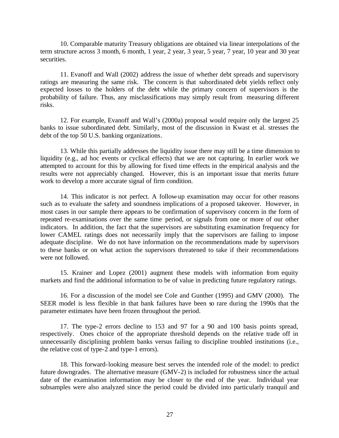10. Comparable maturity Treasury obligations are obtained via linear interpolations of the term structure across 3 month, 6 month, 1 year, 2 year, 3 year, 5 year, 7 year, 10 year and 30 year securities.

11. Evanoff and Wall (2002) address the issue of whether debt spreads and supervisory ratings are measuring the same risk. The concern is that subordinated debt yields reflect only expected losses to the holders of the debt while the primary concern of supervisors is the probability of failure. Thus, any misclassifications may simply result from measuring different risks.

12. For example, Evanoff and Wall's (2000a) proposal would require only the largest 25 banks to issue subordinated debt. Similarly, most of the discussion in Kwast et al. stresses the debt of the top 50 U.S. banking organizations.

13. While this partially addresses the liquidity issue there may still be a time dimension to liquidity (e.g., ad hoc events or cyclical effects) that we are not capturing. In earlier work we attempted to account for this by allowing for fixed time effects in the empirical analysis and the results were not appreciably changed. However, this is an important issue that merits future work to develop a more accurate signal of firm condition.

14. This indicator is not perfect. A follow-up examination may occur for other reasons such as to evaluate the safety and soundness implications of a proposed takeover. However, in most cases in our sample there appears to be confirmation of supervisory concern in the form of repeated re-examinations over the same time period, or signals from one or more of our other indicators. In addition, the fact that the supervisors are substituting examination frequency for lower CAMEL ratings does not necessarily imply that the supervisors are failing to impose adequate discipline. We do not have information on the recommendations made by supervisors to these banks or on what action the supervisors threatened to take if their recommendations were not followed.

15. Krainer and Lopez (2001) augment these models with information from equity markets and find the additional information to be of value in predicting future regulatory ratings.

16. For a discussion of the model see Cole and Gunther (1995) and GMV (2000). The SEER model is less flexible in that bank failures have been so rare during the 1990s that the parameter estimates have been frozen throughout the period.

17. The type-2 errors decline to 153 and 97 for a 90 and 100 basis points spread, respectively. Ones choice of the appropriate threshold depends on the relative trade off in unnecessarily disciplining problem banks versus failing to discipline troubled institutions (i.e., the relative cost of type-2 and type-1 errors).

18. This forward-looking measure best serves the intended role of the model: to predict future downgrades. The alternative measure (GMV-2) is included for robustness since the actual date of the examination information may be closer to the end of the year. Individual year subsamples were also analyzed since the period could be divided into particularly tranquil and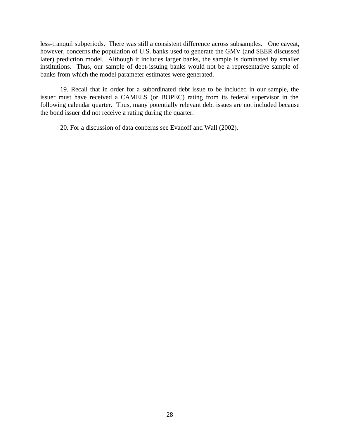less-tranquil subperiods. There was still a consistent difference across subsamples. One caveat, however, concerns the population of U.S. banks used to generate the GMV (and SEER discussed later) prediction model. Although it includes larger banks, the sample is dominated by smaller institutions. Thus, our sample of debt-issuing banks would not be a representative sample of banks from which the model parameter estimates were generated.

19. Recall that in order for a subordinated debt issue to be included in our sample, the issuer must have received a CAMELS (or BOPEC) rating from its federal supervisor in the following calendar quarter. Thus, many potentially relevant debt issues are not included because the bond issuer did not receive a rating during the quarter.

20. For a discussion of data concerns see Evanoff and Wall (2002).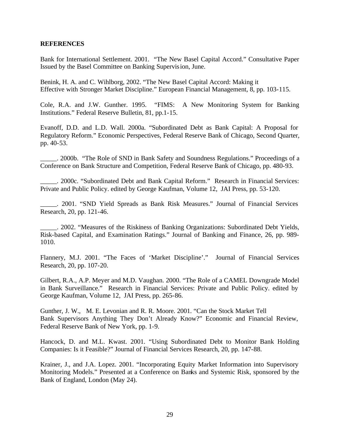#### **REFERENCES**

Bank for International Settlement. 2001. "The New Basel Capital Accord." Consultative Paper Issued by the Basel Committee on Banking Supervision, June.

Benink, H. A. and C. Wihlborg, 2002. "The New Basel Capital Accord: Making it Effective with Stronger Market Discipline." European Financial Management, 8, pp. 103-115.

Cole, R.A. and J.W. Gunther. 1995. "FIMS: A New Monitoring System for Banking Institutions." Federal Reserve Bulletin, 81, pp.1-15.

Evanoff, D.D. and L.D. Wall. 2000a. "Subordinated Debt as Bank Capital: A Proposal for Regulatory Reform." Economic Perspectives, Federal Reserve Bank of Chicago, Second Quarter, pp. 40-53.

\_\_\_\_\_. 2000b. "The Role of SND in Bank Safety and Soundness Regulations." Proceedings of a Conference on Bank Structure and Competition, Federal Reserve Bank of Chicago, pp. 480-93.

\_\_\_\_\_. 2000c. "Subordinated Debt and Bank Capital Reform." Research in Financial Services: Private and Public Policy. edited by George Kaufman, Volume 12, JAI Press, pp. 53-120.

\_\_\_\_\_. 2001. "SND Yield Spreads as Bank Risk Measures." Journal of Financial Services Research, 20, pp. 121-46.

\_\_\_\_\_. 2002. "Measures of the Riskiness of Banking Organizations: Subordinated Debt Yields, Risk-based Capital, and Examination Ratings." Journal of Banking and Finance, 26, pp. 989- 1010.

Flannery, M.J. 2001. "The Faces of 'Market Discipline'." Journal of Financial Services Research, 20, pp. 107-20.

Gilbert, R.A., A.P. Meyer and M.D. Vaughan. 2000. "The Role of a CAMEL Downgrade Model in Bank Surveillance." Research in Financial Services: Private and Public Policy. edited by George Kaufman, Volume 12, JAI Press, pp. 265-86.

Gunther, J. W., M. E. Levonian and R. R. Moore. 2001. "Can the Stock Market Tell Bank Supervisors Anything They Don't Already Know?" Economic and Financial Review, Federal Reserve Bank of New York, pp. 1-9.

Hancock, D. and M.L. Kwast. 2001. "Using Subordinated Debt to Monitor Bank Holding Companies: Is it Feasible?" Journal of Financial Services Research, 20, pp. 147-88.

Krainer, J., and J.A. Lopez. 2001. "Incorporating Equity Market Information into Supervisory Monitoring Models." Presented at a Conference on Banks and Systemic Risk, sponsored by the Bank of England, London (May 24).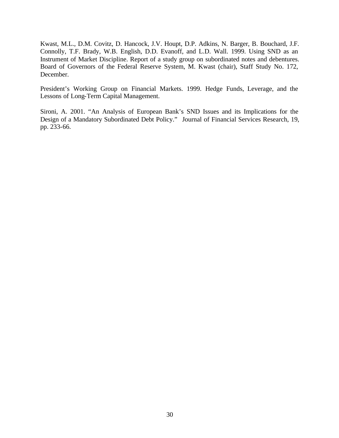Kwast, M.L., D.M. Covitz, D. Hancock, J.V. Houpt, D.P. Adkins, N. Barger, B. Bouchard, J.F. Connolly, T.F. Brady, W.B. English, D.D. Evanoff, and L.D. Wall. 1999. Using SND as an Instrument of Market Discipline. Report of a study group on subordinated notes and debentures. Board of Governors of the Federal Reserve System, M. Kwast (chair), Staff Study No. 172, December.

President's Working Group on Financial Markets. 1999. Hedge Funds, Leverage, and the Lessons of Long-Term Capital Management.

Sironi, A. 2001. "An Analysis of European Bank's SND Issues and its Implications for the Design of a Mandatory Subordinated Debt Policy." Journal of Financial Services Research, 19, pp. 233-66.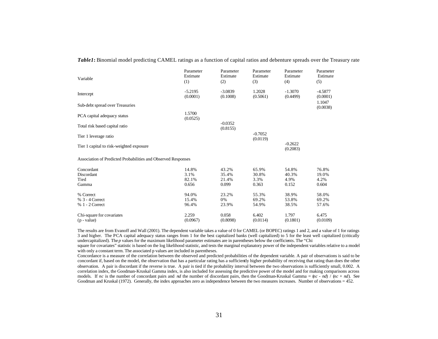| Variable                                                      | Parameter<br>Estimate<br>(1)    | Parameter<br>Estimate<br>(2)     | Parameter<br>Estimate<br>(3)    | Parameter<br>Estimate<br>(4)    | Parameter<br>Estimate<br>(5)    |
|---------------------------------------------------------------|---------------------------------|----------------------------------|---------------------------------|---------------------------------|---------------------------------|
| Intercept                                                     | $-5.2195$<br>(0.0001)           | $-3.0839$<br>(0.1008)            | 1.2028<br>(0.5061)              | $-1.3070$<br>(0.4499)           | $-4.5877$<br>(0.0001)           |
| Sub-debt spread over Treasuries                               |                                 |                                  |                                 |                                 | 1.1047<br>(0.0038)              |
| PCA capital adequacy status                                   | 1.5700<br>(0.0525)              |                                  |                                 |                                 |                                 |
| Total risk based capital ratio                                |                                 | $-0.0352$<br>(0.8155)            |                                 |                                 |                                 |
| Tier 1 leverage ratio                                         |                                 |                                  | $-0.7052$<br>(0.0119)           |                                 |                                 |
| Tier 1 capital to risk-weighted exposure                      |                                 |                                  |                                 | $-0.2622$<br>(0.2083)           |                                 |
| Association of Predicted Probabilities and Observed Responses |                                 |                                  |                                 |                                 |                                 |
| Concordant<br>Discordant<br>Tied<br>Gamma                     | 14.8%<br>3.1%<br>82.1%<br>0.656 | 43.2%<br>35.4%<br>21.4%<br>0.099 | 65.9%<br>30.8%<br>3.3%<br>0.363 | 54.8%<br>40.3%<br>4.9%<br>0.152 | 76.8%<br>19.0%<br>4.2%<br>0.604 |
| % Correct<br>% 3 - 4 Correct<br>% 1 - 2 Correct               | 94.0%<br>15.4%<br>96.4%         | 23.2%<br>0%<br>23.9%             | 55.3%<br>69.2%<br>54.9%         | 38.9%<br>53.8%<br>38.5%         | 58.0%<br>69.2%<br>57.6%         |
| Chi-square for covariates<br>$(p - value)$                    | 2.259<br>(0.0967)               | 0.058<br>(0.8098)                | 6.402<br>(0.0114)               | 1.797<br>(0.1801)               | 6.475<br>(0.0109)               |

*Table1***:** Binomial model predicting CAMEL ratings as a function of capital ratios and debenture spreads over the Treasury rate

The results are from Evanoff and Wall (2001). The dependent variable takes a value of 0 for CAMEL (or BOPEC) ratings 1 and 2, and a value of 1 for ratings 3 and higher. The PCA capital adequacy status ranges from 1 for the best capitalized banks (well capitalized) to 5 for the least well capitalized (critically undercapitalized). The *p* values for the maximum likelihood parameter estimates are in parentheses below the coefficients. The "Chi

square for covariates" statistic is based on the log likelihood statistic, and tests the marginal explanatory power of the independent variables relative to a model with only a constant term. The associated p values are included in parentheses.

Concordance is a measure of the correlation between the observed and predicted probabilities of the dependent variable. A pair of observations is said to be concordant if, based on the model, the observation that has a particular rating has a sufficiently higher probability of receiving that rating than does the other observation. A pair is discordant if the reverse is true. A pair is tied if the probability interval between the two observations is sufficiently small, 0.002. A correlation index, the Goodman-Kruskal Gamma index, is also included for assessing the predictive power of the model and for making comparisons across models. If *nc* is the number of concordant pairs and *nd* the number of discordant pairs, then the Goodman-Kruskal Gamma =  $\left(\frac{nc - nd}{nc + nd}\right)$ . See Goodman and Kruskal (1972). Generally, the index approaches zero as independence between the two measures increases. Number of observations = 452.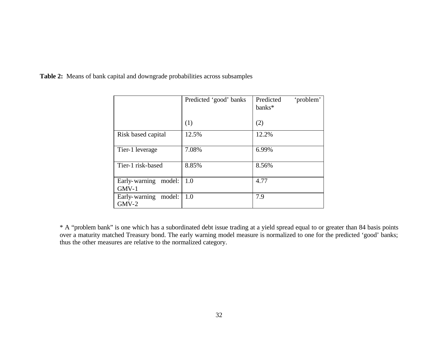|                                    | Predicted 'good' banks | 'problem'<br>Predicted<br>banks* |
|------------------------------------|------------------------|----------------------------------|
|                                    | (1)                    | (2)                              |
| Risk based capital                 | 12.5%                  | 12.2%                            |
| Tier-1 leverage                    | 7.08%                  | 6.99%                            |
| Tier-1 risk-based                  | 8.85%                  | 8.56%                            |
| Early-warning model:<br>$GMV-1$    | 1.0                    | 4.77                             |
| Early-warning<br>model:<br>$GMV-2$ | 1.0                    | 7.9                              |

**Table 2:** Means of bank capital and downgrade probabilities across subsamples

\* A "problem bank" is one which has a subordinated debt issue trading at a yield spread equal to or greater than 84 basis points over a maturity matched Treasury bond. The early warning model measure is normalized to one for the predicted 'good' banks; thus the other measures are relative to the normalized category.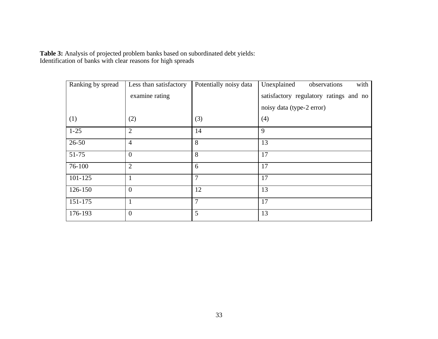**Table 3:** Analysis of projected problem banks based on subordinated debt yields: Identification of banks with clear reasons for high spreads

| Ranking by spread | Less than satisfactory | Potentially noisy data | with<br>Unexplained<br>observations    |
|-------------------|------------------------|------------------------|----------------------------------------|
|                   | examine rating         |                        | satisfactory regulatory ratings and no |
|                   |                        |                        | noisy data (type-2 error)              |
| (1)               | (2)                    | (3)                    | (4)                                    |
| $1 - 25$          | $\overline{2}$         | 14                     | 9                                      |
| $26 - 50$         | $\overline{4}$         | 8                      | 13                                     |
| 51-75             | $\overline{0}$         | 8                      | 17                                     |
| 76-100            | $\overline{2}$         | 6                      | 17                                     |
| $101 - 125$       | $\mathbf{1}$           | 7                      | 17                                     |
| 126-150           | $\overline{0}$         | 12                     | 13                                     |
| 151-175           | $\mathbf{1}$           | 7                      | 17                                     |
| 176-193           | $\overline{0}$         | 5                      | 13                                     |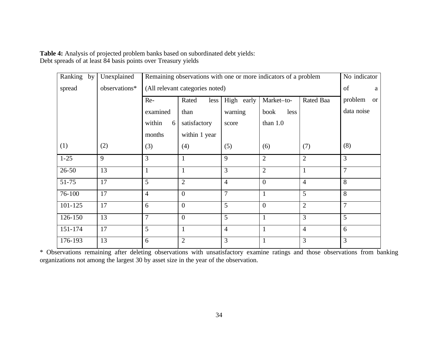**Table 4:** Analysis of projected problem banks based on subordinated debt yields: Debt spreads of at least 84 basis points over Treasury yields

| Ranking by  | Unexplained   | Remaining observations with one or more indicators of a problem |                                 |                |                |                | No indicator         |
|-------------|---------------|-----------------------------------------------------------------|---------------------------------|----------------|----------------|----------------|----------------------|
| spread      | observations* |                                                                 | (All relevant categories noted) |                |                |                | of<br>a              |
|             |               | Re-                                                             | Rated<br>less                   | High early     | Market-to-     | Rated Baa      | problem<br><b>or</b> |
|             |               | examined                                                        | than                            | warning        | less<br>book   |                | data noise           |
|             |               | within<br>6                                                     | satisfactory                    | score          | than $1.0$     |                |                      |
|             |               | months                                                          | within 1 year                   |                |                |                |                      |
| (1)         | (2)           | (3)                                                             | (4)                             | (5)            | (6)            | (7)            | (8)                  |
| $1 - 25$    | 9             | 3                                                               | 1                               | 9              | $\overline{2}$ | $\overline{2}$ | 3                    |
| $26 - 50$   | 13            | $\mathbf{1}$                                                    | 1                               | 3              | $\overline{2}$ | 1              | $\overline{7}$       |
| $51 - 75$   | 17            | 5                                                               | $\overline{2}$                  | $\overline{4}$ | $\overline{0}$ | $\overline{4}$ | 8                    |
| 76-100      | 17            | $\overline{4}$                                                  | $\overline{0}$                  | $\overline{7}$ | $\mathbf{1}$   | 5 <sup>5</sup> | 8                    |
| $101 - 125$ | 17            | 6                                                               | $\boldsymbol{0}$                | 5              | $\mathbf{0}$   | $\overline{2}$ | $\overline{7}$       |
| 126-150     | 13            | $\overline{7}$                                                  | $\overline{0}$                  | 5              | 1              | 3              | 5                    |
| 151-174     | 17            | 5                                                               | 1                               | $\overline{4}$ | 1              | $\overline{4}$ | 6                    |
| 176-193     | 13            | 6                                                               | $\overline{2}$                  | 3              |                | 3              | 3                    |

\* Observations remaining after deleting observations with unsatisfactory examine ratings and those observations from banking organizations not among the largest 30 by asset size in the year of the observation.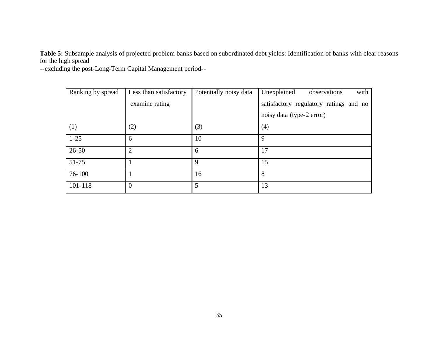**Table 5:** Subsample analysis of projected problem banks based on subordinated debt yields: Identification of banks with clear reasons for the high spread

--excluding the post-Long-Term Capital Management period--

| Ranking by spread | Less than satisfactory | Potentially noisy data | with<br>Unexplained<br>observations    |
|-------------------|------------------------|------------------------|----------------------------------------|
|                   | examine rating         |                        | satisfactory regulatory ratings and no |
|                   |                        |                        | noisy data (type-2 error)              |
| (1)               | (2)                    | (3)                    | (4)                                    |
| $1 - 25$          | 6                      | 10                     | 9                                      |
| $26 - 50$         | $\overline{2}$         | 6                      | 17                                     |
| $51 - 75$         |                        | 9                      | 15                                     |
| 76-100            |                        | 16                     | 8                                      |
| 101-118           | $\overline{0}$         | 5                      | 13                                     |